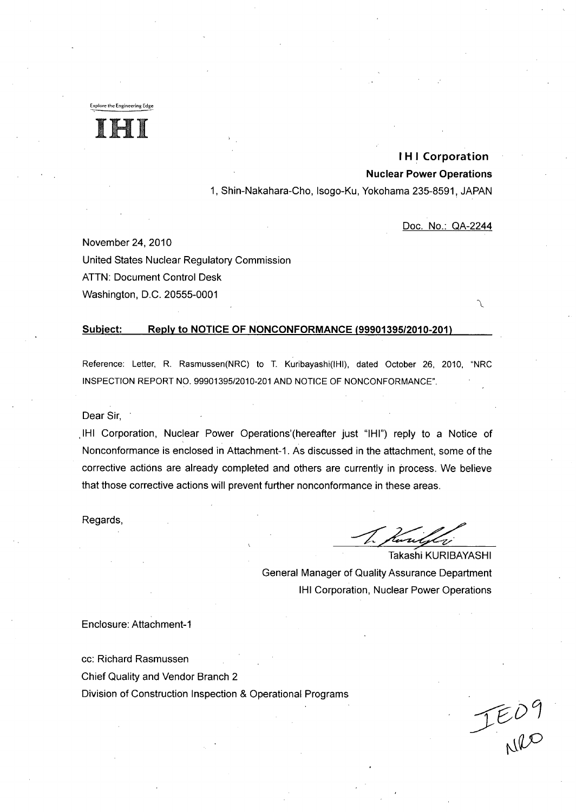Explore the Engineering Edge<br> **IMIRIES** 

# **I** H **I** Corporation

Nuclear Power Operations

1, Shin-Nakahara-Cho, Isogo-Ku, Yokohama 235-8591, JAPAN

Doc. No.: QA-2244

November 24, 2010 United States Nuclear Regulatory Commission ATTN: Document Control Desk Washington, D.C. 20555-0001

## Subiect: Reply to **NOTICE** OF **NONCONFORMANCE (99901395/2010-201)**

Reference: Letter, R. Rasmussen(NRC) to T. Kuribayashi(IHI), dated October 26, 2010, "NRC INSPECTION REPORT NO. 99901395/2010-201 AND NOTICE OF NONCONFORMANCE".

Dear Sir,

,IHI Corporation, Nuclear Power Operations'(hereafter just "IHI") reply to a Notice of Nonconformance is enclosed in Attachment-1. As discussed in the attachment, some of the corrective actions are already completed and others are currently in process. We believe that those corrective actions will prevent further nonconformance in these areas.

Regards,

Takashi KURIBAYASHI General Manager of Quality Assurance Department IHI Corporation, Nuclear Power Operations

Enclosure: Attachment-1

cc: Richard Rasmussen Chief Quality and Vendor Branch 2 Division of Construction Inspection & Operational Programs

JED9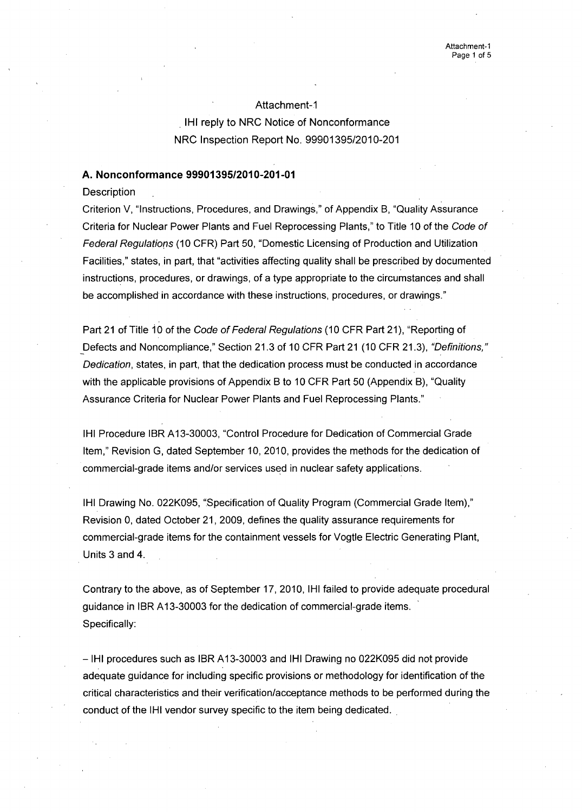Attachment-i IHI reply to NRC Notice of Nonconformance NRC Inspection Report No. 99901395/2010-201

## A. Nonconformance **99901395/2010-201-01**

#### **Description**

Criterion V, "Instructions, Procedures, and Drawings," of Appendix B, "Quality Assurance Criteria for Nuclear Power Plants and Fuel Reprocessing Plants," to Title 10 of the Code of *Federal Regulations* (10 CFR) Part 50, "Domestic Licensing of Production and Utilization Facilities," states, in part, that "activities affecting quality shall be prescribed by documented instructions, procedures, or drawings, of a type appropriate to the circumstances and shall be accomplished in accordance with these instructions, procedures, or drawings."

Part 21 of Title **10** of the Code *of Federal Regulations* (10 CFR Part 21), "Reporting of Defects and Noncompliance," Section 21.3 of 10 CFR Part 21 (10 CFR 21.3), *"Definitions," Dedication,* states, in part, that the dedication process must be conducted in accordance with the applicable provisions of Appendix B to 10 CFR Part 50 (Appendix B), "Quality Assurance Criteria for Nuclear Power Plants and Fuel Reprocessing Plants."

IHI Procedure IBR A13-30003, "Control Procedure for Dedication of Commercial Grade Item," Revision G, dated September 10, 2010, provides the methods for the dedication of commercial-grade items and/or services used in nuclear safety applications.

IHI Drawing No. 022K095, "Specification of Quality Program (Commercial Grade Item)," Revision 0, dated October 21, 2009, defines the quality assurance requirements for commercial-grade items for the containment vessels for Vogtle Electric Generating Plant, Units 3 and 4.

Contrary to the above, as of September 17, 2010, IHI failed to provide adequate procedural guidance in IBR A13-30003 for the dedication of commercial-grade items. Specifically:

- IHI procedures such as IBR A13-30003 and IHI Drawing no 022K095 did not provide adequate guidance for including specific provisions or methodology for identification of the critical characteristics and their verification/acceptance methods to be performed during the conduct of the IHI vendor survey specific to the item being dedicated.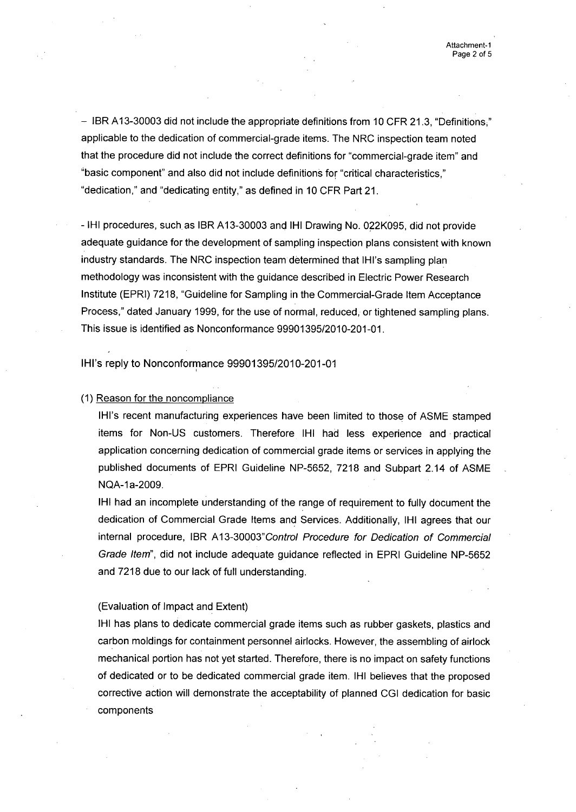- IBR A13-30003 did not include the appropriate definitions from 10 CFR 21.3, "Definitions." applicable to the dedication of commercial-grade items. The NRC inspection team noted that the procedure did not include the correct definitions for "commercial-grade item" and "basic component" and also did not include definitions for "critical characteristics," "dedication," and "dedicating entity," as defined in 10 CFR Part 21.

- IHI procedures, such as IBR **Al** 3-30003 and IHI Drawing No. 022K095, did not provide adequate guidance for the development of sampling inspection plans consistent with known industry standards. The NRC inspection team determined that IHI's sampling plan methodology was inconsistent with the guidance described in Electric Power Research Institute (EPRI) 7218, "Guideline for Sampling in the Commercial-Grade Item Acceptance Process," dated January 1999, for the use of normal, reduced, or tightened sampling plans. This issue is identified as Nonconformance 99901395/2010-201-01.

IHI's reply to Nonconformance 99901395/2010-201-01

#### (1) Reason for the noncompliance

IHI's recent manufacturing experiences have been limited to those of ASME stamped items for Non-US customers. Therefore IHI had less experience and practical application concerning dedication of commercial grade items or services in applying the published documents of EPRI Guideline NP-5652, 7218 and Subpart 2.14 of ASME NQA-1a-2009.

IHI had an incomplete understanding of the range of requirement to fully document the dedication of Commercial Grade Items and Services. Additionally, IHI agrees that our internal procedure, IBR A13-30003"Control *Procedure for Dedication of Commercial Grade Item",* did not include adequate guidance reflected in EPRI Guideline NP-5652 and 7218 due to our lack of full understanding.

#### (Evaluation of Impact and Extent)

IHI has plans to dedicate commercial grade items such as rubber gaskets, plastics and carbon moldings for containment personnel airlocks. However, the assembling of airlock mechanical portion has not yet started. Therefore, there is no impact on safety functions of dedicated or to be dedicated commercial grade item. IHI believes that the proposed corrective action will demonstrate the acceptability of planned CGI dedication for basic components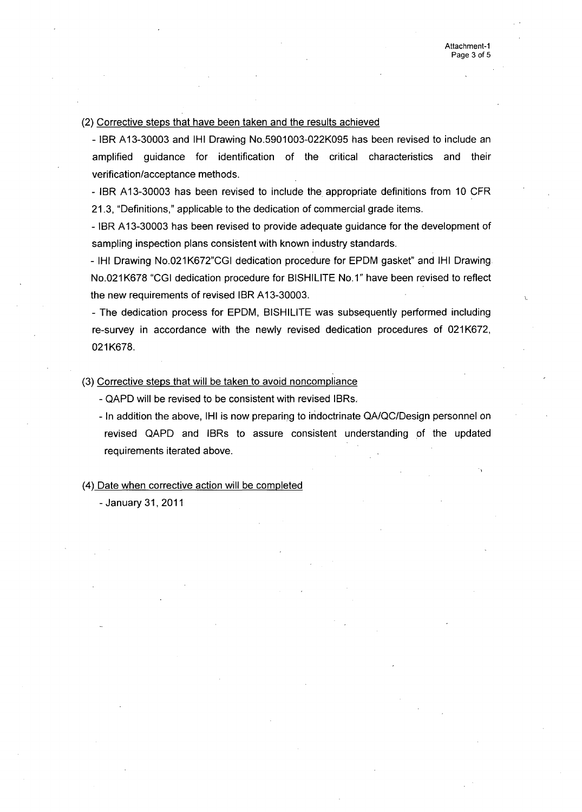## (2) Corrective steps that have been taken and the results achieved

- IBR A13-30003 and IHI Drawing No.5901003-022K095 has been revised to include an amplified guidance for identification of the critical characteristics and their verification/acceptance methods.

- IBR A13-30003 has been revised to include the appropriate definitions from 10 CFR 21.3, "Definitions," applicable to the dedication of commercial grade items.

- IBR **Al** 3-30003 has been revised to provide adequate guidance for the development of sampling inspection plans consistent with known industry standards.

- IHI Drawing No.021K672"CGI dedication procedure for EPDM gasket" and IHI Drawing No.021K678 "CGI dedication procedure for BISHILITE No.1" have been revised to reflect the new requirements of revised IBR A13-30003.

- The dedication process for EPDM, BISHILITE was subsequently performed including re-survey in accordance with the newly revised dedication procedures of 021K672, 021K678.

(3) Corrective steps that will be taken to avoid noncompliance

- QAPD will be revised to be consistent with revised IBRs.

- In addition the above, IHI is now preparing to indoctrinate QA/QC/Design personnel on revised QAPD and IBRs to assure consistent understanding of the updated requirements iterated above.

#### (4) Date when corrective action will be completed

**-** January 31, 2011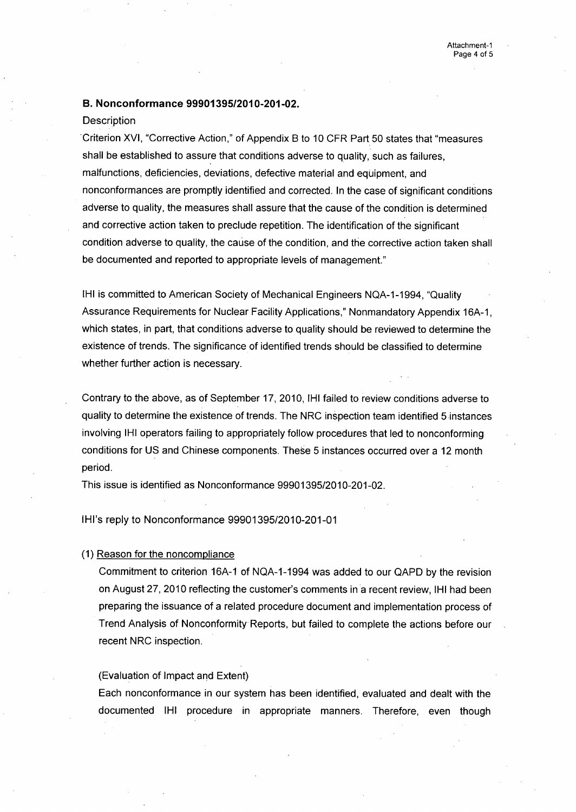## B. Nonconformance **99901395/2010-201-02.**

### **Description**

Criterion XVI, "Corrective Action," of Appendix B to 10 CFR Part 50 states that "measures shall be established to assure that conditions adverse to quality, such as failures, malfunctions, deficiencies, deviations, defective material and equipment, and nonconformances are promptly identified and corrected. In the case of significant conditions adverse to quality, the measures shall assure that the cause of the condition is determined and corrective action taken to preclude repetition. The identification of the significant condition adverse to quality, the cause of the condition, and the corrective action taken shall be documented and reported to appropriate levels of management."

IHI is committed to American Society of Mechanical Engineers NQA-1-1994, "Quality Assurance Requirements for Nuclear Facility Applications," Nonmandatory Appendix 16A-1, which states, in part, that conditions adverse to quality should be reviewed to determine the existence of trends. The significance of identified trends should be classified to determine whether further action is necessary.

Contrary to the above, as of September 17, 2010, IHI failed to review conditions adverse to quality to determine the existence of trends. The NRC inspection team identified 5 instances involving IHI operators failing to appropriately follow procedures that led to nonconforming conditions for US and Chinese components. These 5 instances occurred over a 12 month period.

This issue is identified as Nonconformance 99901395/2010-201-02.

IHI's reply to Nonconformance 99901395/2010-201-01

## (1) Reason for the noncompliance

Commitment to criterion 16A-1 of NQA-1-1994 was added to our QAPD by the revision on August 27, 2010 reflecting the customer's comments in a recent review, IHI had been preparing the issuance of a related procedure document and implementation process of Trend Analysis of Nonconformity Reports, but failed to complete the actions before our recent NRC inspection.

#### (Evaluation of Impact and Extent)

Each nonconformance in our system has been identified, evaluated and dealt with the documented IHI procedure in appropriate manners. Therefore, even though